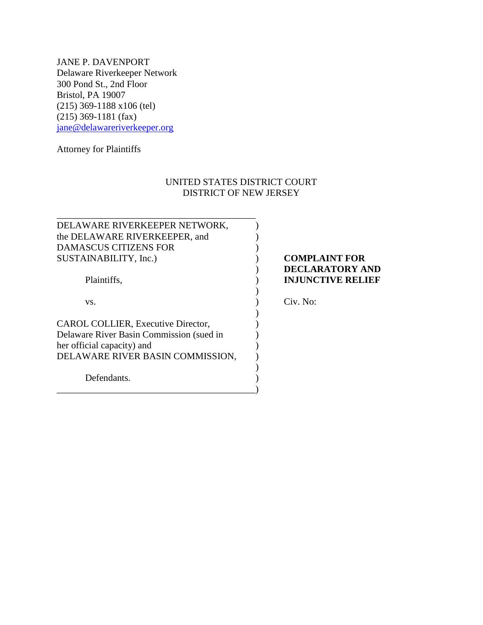JANE P. DAVENPORT Delaware Riverkeeper Network 300 Pond St., 2nd Floor Bristol, PA 19007 (215) 369-1188 x106 (tel) (215) 369-1181 (fax) [jane@delawareriverkeeper.org](mailto:jane@delawareriverkeeper.org)

\_\_\_\_\_\_\_\_\_\_\_\_\_\_\_\_\_\_\_\_\_\_\_\_\_\_\_\_\_\_\_\_\_\_\_\_\_\_\_\_\_\_

Attorney for Plaintiffs

## UNITED STATES DISTRICT COURT DISTRICT OF NEW JERSEY

| DELAWARE RIVERKEEPER NETWORK,            |                          |
|------------------------------------------|--------------------------|
| the DELAWARE RIVERKEEPER, and            |                          |
| <b>DAMASCUS CITIZENS FOR</b>             |                          |
| SUSTAINABILITY, Inc.)                    | <b>COMPLAINT FOR</b>     |
|                                          | <b>DECLARATORY AND</b>   |
| Plaintiffs,                              | <b>INJUNCTIVE RELIEF</b> |
|                                          |                          |
| VS.                                      | Civ. No:                 |
|                                          |                          |
| CAROL COLLIER, Executive Director,       |                          |
| Delaware River Basin Commission (sued in |                          |
| her official capacity) and               |                          |
| DELAWARE RIVER BASIN COMMISSION,         |                          |
|                                          |                          |
| Defendants.                              |                          |
|                                          |                          |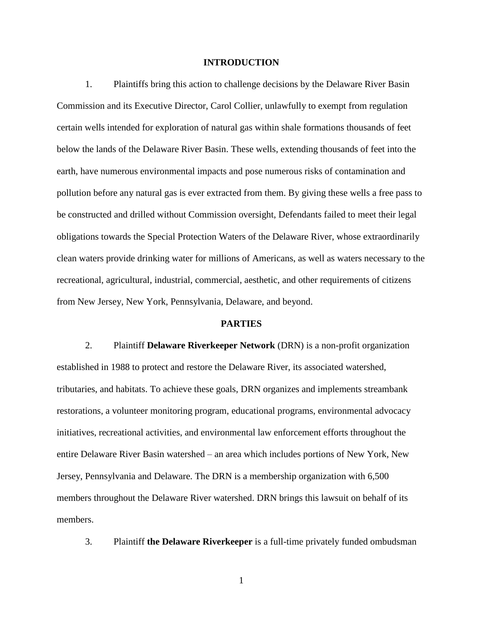### **INTRODUCTION**

1. Plaintiffs bring this action to challenge decisions by the Delaware River Basin Commission and its Executive Director, Carol Collier, unlawfully to exempt from regulation certain wells intended for exploration of natural gas within shale formations thousands of feet below the lands of the Delaware River Basin. These wells, extending thousands of feet into the earth, have numerous environmental impacts and pose numerous risks of contamination and pollution before any natural gas is ever extracted from them. By giving these wells a free pass to be constructed and drilled without Commission oversight, Defendants failed to meet their legal obligations towards the Special Protection Waters of the Delaware River, whose extraordinarily clean waters provide drinking water for millions of Americans, as well as waters necessary to the recreational, agricultural, industrial, commercial, aesthetic, and other requirements of citizens from New Jersey, New York, Pennsylvania, Delaware, and beyond.

#### **PARTIES**

2. Plaintiff **Delaware Riverkeeper Network** (DRN) is a non-profit organization established in 1988 to protect and restore the Delaware River, its associated watershed, tributaries, and habitats. To achieve these goals, DRN organizes and implements streambank restorations, a volunteer monitoring program, educational programs, environmental advocacy initiatives, recreational activities, and environmental law enforcement efforts throughout the entire Delaware River Basin watershed – an area which includes portions of New York, New Jersey, Pennsylvania and Delaware. The DRN is a membership organization with 6,500 members throughout the Delaware River watershed. DRN brings this lawsuit on behalf of its members.

3. Plaintiff **the Delaware Riverkeeper** is a full-time privately funded ombudsman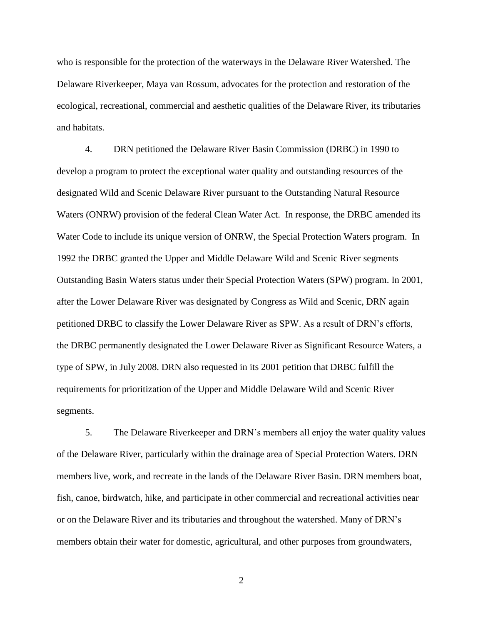who is responsible for the protection of the waterways in the Delaware River Watershed. The Delaware Riverkeeper, Maya van Rossum, advocates for the protection and restoration of the ecological, recreational, commercial and aesthetic qualities of the Delaware River, its tributaries and habitats.

4. DRN petitioned the Delaware River Basin Commission (DRBC) in 1990 to develop a program to protect the exceptional water quality and outstanding resources of the designated Wild and Scenic Delaware River pursuant to the Outstanding Natural Resource Waters (ONRW) provision of the federal Clean Water Act. In response, the DRBC amended its Water Code to include its unique version of ONRW, the Special Protection Waters program. In 1992 the DRBC granted the Upper and Middle Delaware Wild and Scenic River segments Outstanding Basin Waters status under their Special Protection Waters (SPW) program. In 2001, after the Lower Delaware River was designated by Congress as Wild and Scenic, DRN again petitioned DRBC to classify the Lower Delaware River as SPW. As a result of DRN"s efforts, the DRBC permanently designated the Lower Delaware River as Significant Resource Waters, a type of SPW, in July 2008. DRN also requested in its 2001 petition that DRBC fulfill the requirements for prioritization of the Upper and Middle Delaware Wild and Scenic River segments.

5. The Delaware Riverkeeper and DRN"s members all enjoy the water quality values of the Delaware River, particularly within the drainage area of Special Protection Waters. DRN members live, work, and recreate in the lands of the Delaware River Basin. DRN members boat, fish, canoe, birdwatch, hike, and participate in other commercial and recreational activities near or on the Delaware River and its tributaries and throughout the watershed. Many of DRN"s members obtain their water for domestic, agricultural, and other purposes from groundwaters,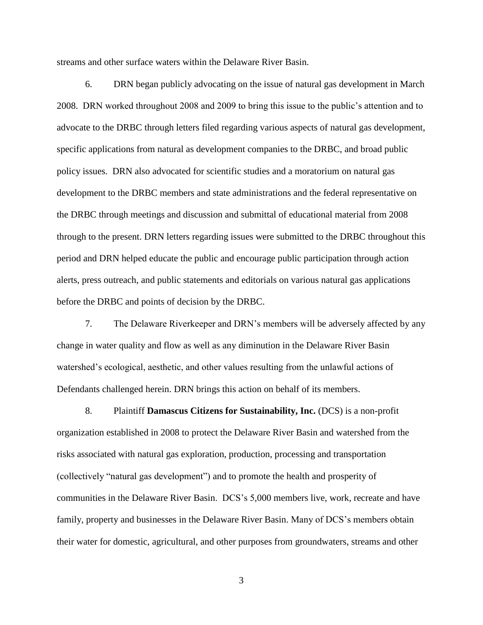streams and other surface waters within the Delaware River Basin.

6. DRN began publicly advocating on the issue of natural gas development in March 2008. DRN worked throughout 2008 and 2009 to bring this issue to the public"s attention and to advocate to the DRBC through letters filed regarding various aspects of natural gas development, specific applications from natural as development companies to the DRBC, and broad public policy issues. DRN also advocated for scientific studies and a moratorium on natural gas development to the DRBC members and state administrations and the federal representative on the DRBC through meetings and discussion and submittal of educational material from 2008 through to the present. DRN letters regarding issues were submitted to the DRBC throughout this period and DRN helped educate the public and encourage public participation through action alerts, press outreach, and public statements and editorials on various natural gas applications before the DRBC and points of decision by the DRBC.

7. The Delaware Riverkeeper and DRN"s members will be adversely affected by any change in water quality and flow as well as any diminution in the Delaware River Basin watershed"s ecological, aesthetic, and other values resulting from the unlawful actions of Defendants challenged herein. DRN brings this action on behalf of its members.

8. Plaintiff **Damascus Citizens for Sustainability, Inc.** (DCS) is a non-profit organization established in 2008 to protect the Delaware River Basin and watershed from the risks associated with natural gas exploration, production, processing and transportation (collectively "natural gas development") and to promote the health and prosperity of communities in the Delaware River Basin. DCS"s 5,000 members live, work, recreate and have family, property and businesses in the Delaware River Basin. Many of DCS"s members obtain their water for domestic, agricultural, and other purposes from groundwaters, streams and other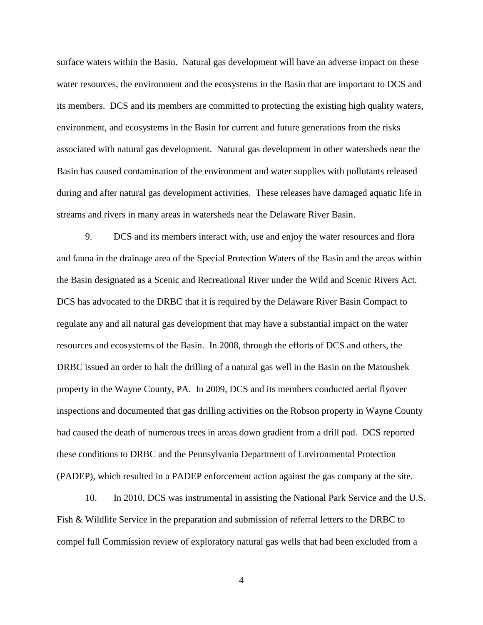surface waters within the Basin. Natural gas development will have an adverse impact on these water resources, the environment and the ecosystems in the Basin that are important to DCS and its members. DCS and its members are committed to protecting the existing high quality waters, environment, and ecosystems in the Basin for current and future generations from the risks associated with natural gas development. Natural gas development in other watersheds near the Basin has caused contamination of the environment and water supplies with pollutants released during and after natural gas development activities. These releases have damaged aquatic life in streams and rivers in many areas in watersheds near the Delaware River Basin.

9. DCS and its members interact with, use and enjoy the water resources and flora and fauna in the drainage area of the Special Protection Waters of the Basin and the areas within the Basin designated as a Scenic and Recreational River under the Wild and Scenic Rivers Act. DCS has advocated to the DRBC that it is required by the Delaware River Basin Compact to regulate any and all natural gas development that may have a substantial impact on the water resources and ecosystems of the Basin. In 2008, through the efforts of DCS and others, the DRBC issued an order to halt the drilling of a natural gas well in the Basin on the Matoushek property in the Wayne County, PA. In 2009, DCS and its members conducted aerial flyover inspections and documented that gas drilling activities on the Robson property in Wayne County had caused the death of numerous trees in areas down gradient from a drill pad. DCS reported these conditions to DRBC and the Pennsylvania Department of Environmental Protection (PADEP), which resulted in a PADEP enforcement action against the gas company at the site.

10. In 2010, DCS was instrumental in assisting the National Park Service and the U.S. Fish & Wildlife Service in the preparation and submission of referral letters to the DRBC to compel full Commission review of exploratory natural gas wells that had been excluded from a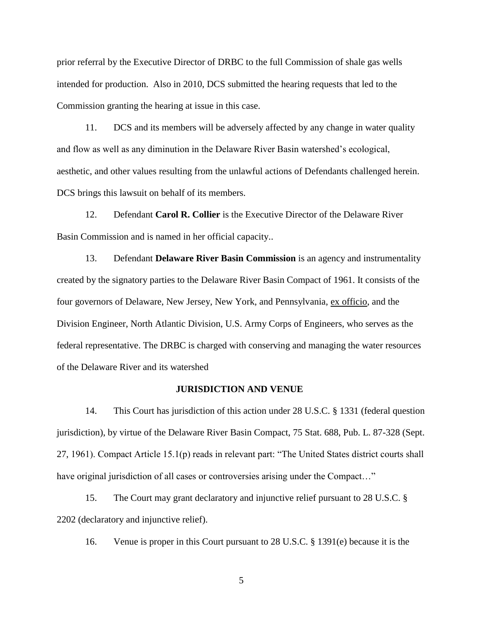prior referral by the Executive Director of DRBC to the full Commission of shale gas wells intended for production. Also in 2010, DCS submitted the hearing requests that led to the Commission granting the hearing at issue in this case.

11. DCS and its members will be adversely affected by any change in water quality and flow as well as any diminution in the Delaware River Basin watershed"s ecological, aesthetic, and other values resulting from the unlawful actions of Defendants challenged herein. DCS brings this lawsuit on behalf of its members.

12. Defendant **Carol R. Collier** is the Executive Director of the Delaware River Basin Commission and is named in her official capacity..

13. Defendant **Delaware River Basin Commission** is an agency and instrumentality created by the signatory parties to the Delaware River Basin Compact of 1961. It consists of the four governors of Delaware, New Jersey, New York, and Pennsylvania, ex officio, and the Division Engineer, North Atlantic Division, U.S. Army Corps of Engineers, who serves as the federal representative. The DRBC is charged with conserving and managing the water resources of the Delaware River and its watershed

#### **JURISDICTION AND VENUE**

14. This Court has jurisdiction of this action under 28 U.S.C. § 1331 (federal question jurisdiction), by virtue of the Delaware River Basin Compact, 75 Stat. 688, Pub. L. 87-328 (Sept. 27, 1961). Compact Article 15.1(p) reads in relevant part: "The United States district courts shall have original jurisdiction of all cases or controversies arising under the Compact..."

15. The Court may grant declaratory and injunctive relief pursuant to 28 U.S.C. § 2202 (declaratory and injunctive relief).

16. Venue is proper in this Court pursuant to 28 U.S.C. § 1391(e) because it is the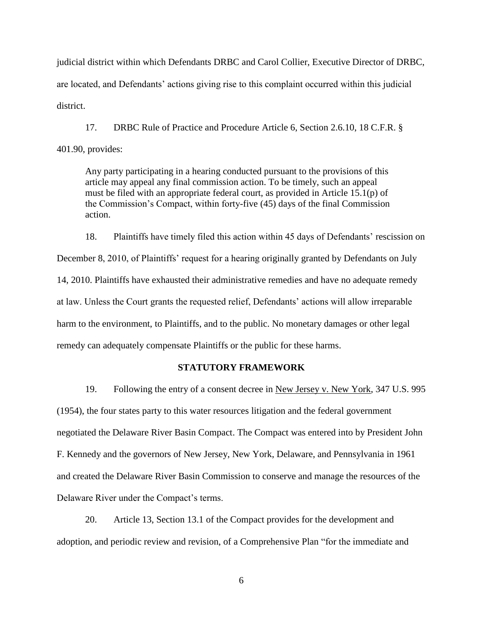judicial district within which Defendants DRBC and Carol Collier, Executive Director of DRBC, are located, and Defendants' actions giving rise to this complaint occurred within this judicial district.

17. DRBC Rule of Practice and Procedure Article 6, Section 2.6.10, 18 C.F.R. § 401.90, provides:

Any party participating in a hearing conducted pursuant to the provisions of this article may appeal any final commission action. To be timely, such an appeal must be filed with an appropriate federal court, as provided in Article 15.1(p) of the Commission"s Compact, within forty-five (45) days of the final Commission action.

18. Plaintiffs have timely filed this action within 45 days of Defendants' rescission on December 8, 2010, of Plaintiffs' request for a hearing originally granted by Defendants on July 14, 2010. Plaintiffs have exhausted their administrative remedies and have no adequate remedy at law. Unless the Court grants the requested relief, Defendants" actions will allow irreparable harm to the environment, to Plaintiffs, and to the public. No monetary damages or other legal remedy can adequately compensate Plaintiffs or the public for these harms.

### **STATUTORY FRAMEWORK**

19. Following the entry of a consent decree in New Jersey v. New York, 347 U.S. 995 (1954), the four states party to this water resources litigation and the federal government negotiated the Delaware River Basin Compact. The Compact was entered into by President John F. Kennedy and the governors of New Jersey, New York, Delaware, and Pennsylvania in 1961 and created the Delaware River Basin Commission to conserve and manage the resources of the Delaware River under the Compact's terms.

20. Article 13, Section 13.1 of the Compact provides for the development and adoption, and periodic review and revision, of a Comprehensive Plan "for the immediate and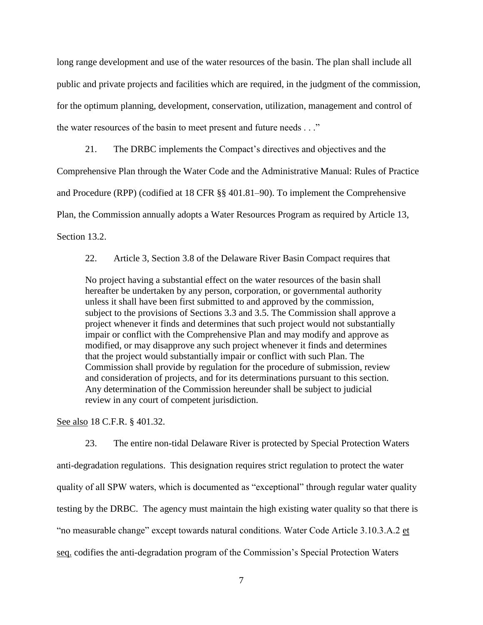long range development and use of the water resources of the basin. The plan shall include all public and private projects and facilities which are required, in the judgment of the commission, for the optimum planning, development, conservation, utilization, management and control of the water resources of the basin to meet present and future needs . . ."

21. The DRBC implements the Compact"s directives and objectives and the Comprehensive Plan through the Water Code and the Administrative Manual: Rules of Practice and Procedure (RPP) (codified at 18 CFR §§ 401.81–90). To implement the Comprehensive Plan, the Commission annually adopts a Water Resources Program as required by Article 13, Section 13.2.

22. Article 3, Section 3.8 of the Delaware River Basin Compact requires that

No project having a substantial effect on the water resources of the basin shall hereafter be undertaken by any person, corporation, or governmental authority unless it shall have been first submitted to and approved by the commission, subject to the provisions of Sections 3.3 and 3.5. The Commission shall approve a project whenever it finds and determines that such project would not substantially impair or conflict with the Comprehensive Plan and may modify and approve as modified, or may disapprove any such project whenever it finds and determines that the project would substantially impair or conflict with such Plan. The Commission shall provide by regulation for the procedure of submission, review and consideration of projects, and for its determinations pursuant to this section. Any determination of the Commission hereunder shall be subject to judicial review in any court of competent jurisdiction.

See also 18 C.F.R. § 401.32.

23. The entire non-tidal Delaware River is protected by Special Protection Waters anti-degradation regulations. This designation requires strict regulation to protect the water quality of all SPW waters, which is documented as "exceptional" through regular water quality testing by the DRBC. The agency must maintain the high existing water quality so that there is "no measurable change" except towards natural conditions. Water Code Article 3.10.3.A.2 et seq. codifies the anti-degradation program of the Commission"s Special Protection Waters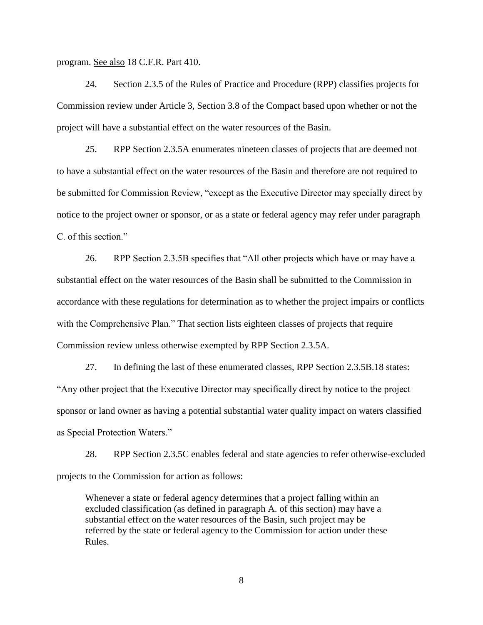program. See also 18 C.F.R. Part 410.

24. Section 2.3.5 of the Rules of Practice and Procedure (RPP) classifies projects for Commission review under Article 3, Section 3.8 of the Compact based upon whether or not the project will have a substantial effect on the water resources of the Basin.

25. RPP Section 2.3.5A enumerates nineteen classes of projects that are deemed not to have a substantial effect on the water resources of the Basin and therefore are not required to be submitted for Commission Review, "except as the Executive Director may specially direct by notice to the project owner or sponsor, or as a state or federal agency may refer under paragraph C. of this section."

26. RPP Section 2.3.5B specifies that "All other projects which have or may have a substantial effect on the water resources of the Basin shall be submitted to the Commission in accordance with these regulations for determination as to whether the project impairs or conflicts with the Comprehensive Plan." That section lists eighteen classes of projects that require Commission review unless otherwise exempted by RPP Section 2.3.5A.

27. In defining the last of these enumerated classes, RPP Section 2.3.5B.18 states: "Any other project that the Executive Director may specifically direct by notice to the project sponsor or land owner as having a potential substantial water quality impact on waters classified as Special Protection Waters."

28. RPP Section 2.3.5C enables federal and state agencies to refer otherwise-excluded projects to the Commission for action as follows:

Whenever a state or federal agency determines that a project falling within an excluded classification (as defined in paragraph A. of this section) may have a substantial effect on the water resources of the Basin, such project may be referred by the state or federal agency to the Commission for action under these Rules.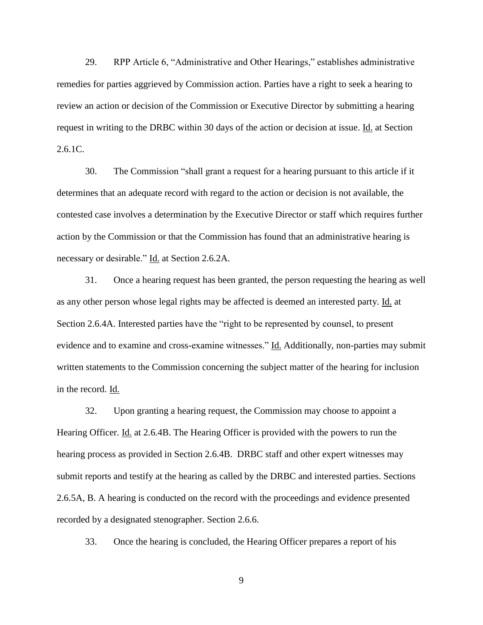29. RPP Article 6, "Administrative and Other Hearings," establishes administrative remedies for parties aggrieved by Commission action. Parties have a right to seek a hearing to review an action or decision of the Commission or Executive Director by submitting a hearing request in writing to the DRBC within 30 days of the action or decision at issue. Id. at Section 2.6.1C.

30. The Commission "shall grant a request for a hearing pursuant to this article if it determines that an adequate record with regard to the action or decision is not available, the contested case involves a determination by the Executive Director or staff which requires further action by the Commission or that the Commission has found that an administrative hearing is necessary or desirable." Id. at Section 2.6.2A.

31. Once a hearing request has been granted, the person requesting the hearing as well as any other person whose legal rights may be affected is deemed an interested party. Id. at Section 2.6.4A. Interested parties have the "right to be represented by counsel, to present evidence and to examine and cross-examine witnesses." Id. Additionally, non-parties may submit written statements to the Commission concerning the subject matter of the hearing for inclusion in the record. Id.

32. Upon granting a hearing request, the Commission may choose to appoint a Hearing Officer. Id. at 2.6.4B. The Hearing Officer is provided with the powers to run the hearing process as provided in Section 2.6.4B. DRBC staff and other expert witnesses may submit reports and testify at the hearing as called by the DRBC and interested parties. Sections 2.6.5A, B. A hearing is conducted on the record with the proceedings and evidence presented recorded by a designated stenographer. Section 2.6.6.

33. Once the hearing is concluded, the Hearing Officer prepares a report of his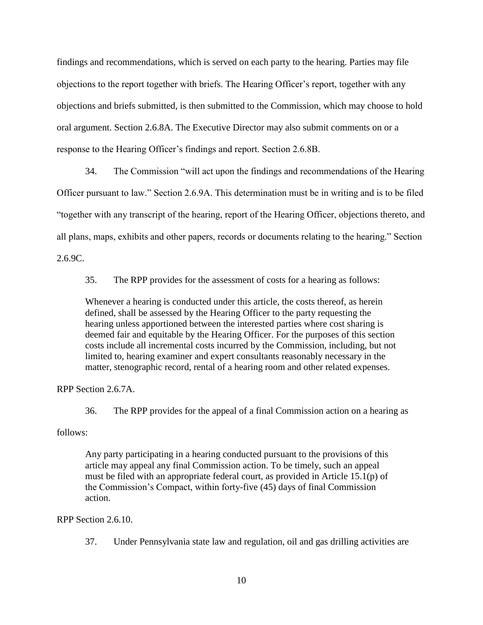findings and recommendations, which is served on each party to the hearing. Parties may file objections to the report together with briefs. The Hearing Officer"s report, together with any objections and briefs submitted, is then submitted to the Commission, which may choose to hold oral argument. Section 2.6.8A. The Executive Director may also submit comments on or a response to the Hearing Officer"s findings and report. Section 2.6.8B.

34. The Commission "will act upon the findings and recommendations of the Hearing Officer pursuant to law." Section 2.6.9A. This determination must be in writing and is to be filed "together with any transcript of the hearing, report of the Hearing Officer, objections thereto, and all plans, maps, exhibits and other papers, records or documents relating to the hearing." Section 2.6.9C.

35. The RPP provides for the assessment of costs for a hearing as follows:

Whenever a hearing is conducted under this article, the costs thereof, as herein defined, shall be assessed by the Hearing Officer to the party requesting the hearing unless apportioned between the interested parties where cost sharing is deemed fair and equitable by the Hearing Officer. For the purposes of this section costs include all incremental costs incurred by the Commission, including, but not limited to, hearing examiner and expert consultants reasonably necessary in the matter, stenographic record, rental of a hearing room and other related expenses.

RPP Section 2.6.7A.

36. The RPP provides for the appeal of a final Commission action on a hearing as

follows:

Any party participating in a hearing conducted pursuant to the provisions of this article may appeal any final Commission action. To be timely, such an appeal must be filed with an appropriate federal court, as provided in Article 15.1(p) of the Commission"s Compact, within forty-five (45) days of final Commission action.

RPP Section 2.6.10.

37. Under Pennsylvania state law and regulation, oil and gas drilling activities are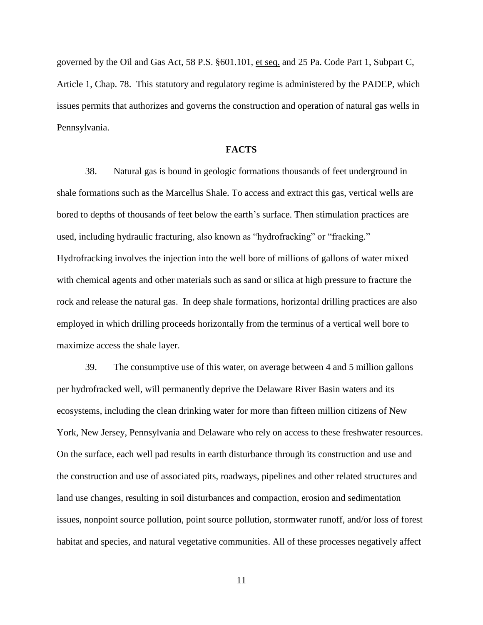governed by the Oil and Gas Act, 58 P.S. §601.101, et seq. and 25 Pa. Code Part 1, Subpart C, Article 1, Chap. 78. This statutory and regulatory regime is administered by the PADEP, which issues permits that authorizes and governs the construction and operation of natural gas wells in Pennsylvania.

### **FACTS**

38. Natural gas is bound in geologic formations thousands of feet underground in shale formations such as the Marcellus Shale. To access and extract this gas, vertical wells are bored to depths of thousands of feet below the earth"s surface. Then stimulation practices are used, including hydraulic fracturing, also known as "hydrofracking" or "fracking." Hydrofracking involves the injection into the well bore of millions of gallons of water mixed with chemical agents and other materials such as sand or silica at high pressure to fracture the rock and release the natural gas. In deep shale formations, horizontal drilling practices are also employed in which drilling proceeds horizontally from the terminus of a vertical well bore to maximize access the shale layer.

39. The consumptive use of this water, on average between 4 and 5 million gallons per hydrofracked well, will permanently deprive the Delaware River Basin waters and its ecosystems, including the clean drinking water for more than fifteen million citizens of New York, New Jersey, Pennsylvania and Delaware who rely on access to these freshwater resources. On the surface, each well pad results in earth disturbance through its construction and use and the construction and use of associated pits, roadways, pipelines and other related structures and land use changes, resulting in soil disturbances and compaction, erosion and sedimentation issues, nonpoint source pollution, point source pollution, stormwater runoff, and/or loss of forest habitat and species, and natural vegetative communities. All of these processes negatively affect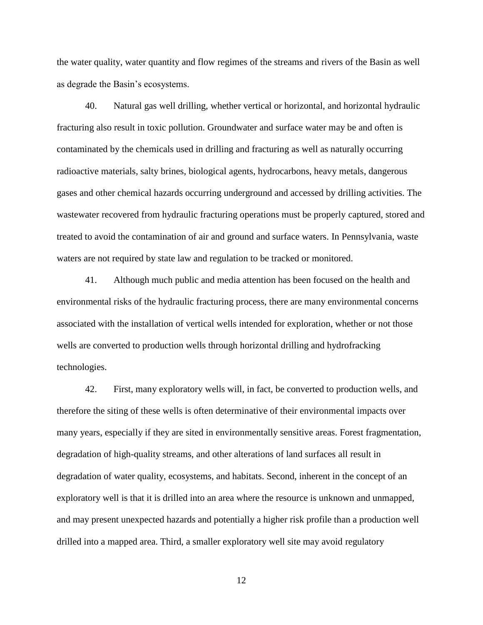the water quality, water quantity and flow regimes of the streams and rivers of the Basin as well as degrade the Basin"s ecosystems.

40. Natural gas well drilling, whether vertical or horizontal, and horizontal hydraulic fracturing also result in toxic pollution. Groundwater and surface water may be and often is contaminated by the chemicals used in drilling and fracturing as well as naturally occurring radioactive materials, salty brines, biological agents, hydrocarbons, heavy metals, dangerous gases and other chemical hazards occurring underground and accessed by drilling activities. The wastewater recovered from hydraulic fracturing operations must be properly captured, stored and treated to avoid the contamination of air and ground and surface waters. In Pennsylvania, waste waters are not required by state law and regulation to be tracked or monitored.

41. Although much public and media attention has been focused on the health and environmental risks of the hydraulic fracturing process, there are many environmental concerns associated with the installation of vertical wells intended for exploration, whether or not those wells are converted to production wells through horizontal drilling and hydrofracking technologies.

42. First, many exploratory wells will, in fact, be converted to production wells, and therefore the siting of these wells is often determinative of their environmental impacts over many years, especially if they are sited in environmentally sensitive areas. Forest fragmentation, degradation of high-quality streams, and other alterations of land surfaces all result in degradation of water quality, ecosystems, and habitats. Second, inherent in the concept of an exploratory well is that it is drilled into an area where the resource is unknown and unmapped, and may present unexpected hazards and potentially a higher risk profile than a production well drilled into a mapped area. Third, a smaller exploratory well site may avoid regulatory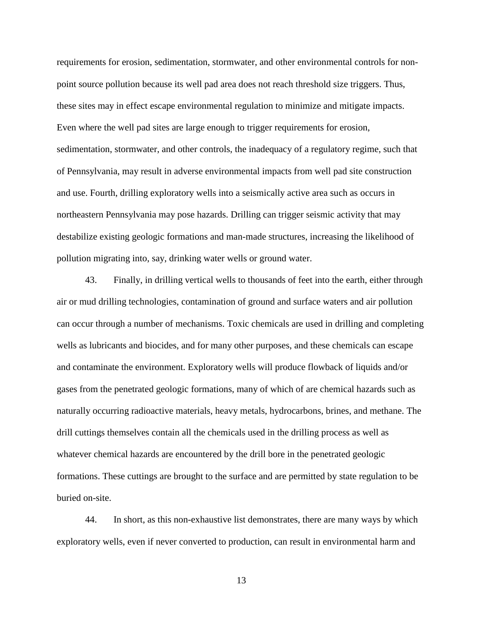requirements for erosion, sedimentation, stormwater, and other environmental controls for nonpoint source pollution because its well pad area does not reach threshold size triggers. Thus, these sites may in effect escape environmental regulation to minimize and mitigate impacts. Even where the well pad sites are large enough to trigger requirements for erosion, sedimentation, stormwater, and other controls, the inadequacy of a regulatory regime, such that of Pennsylvania, may result in adverse environmental impacts from well pad site construction and use. Fourth, drilling exploratory wells into a seismically active area such as occurs in northeastern Pennsylvania may pose hazards. Drilling can trigger seismic activity that may destabilize existing geologic formations and man-made structures, increasing the likelihood of pollution migrating into, say, drinking water wells or ground water.

43. Finally, in drilling vertical wells to thousands of feet into the earth, either through air or mud drilling technologies, contamination of ground and surface waters and air pollution can occur through a number of mechanisms. Toxic chemicals are used in drilling and completing wells as lubricants and biocides, and for many other purposes, and these chemicals can escape and contaminate the environment. Exploratory wells will produce flowback of liquids and/or gases from the penetrated geologic formations, many of which of are chemical hazards such as naturally occurring radioactive materials, heavy metals, hydrocarbons, brines, and methane. The drill cuttings themselves contain all the chemicals used in the drilling process as well as whatever chemical hazards are encountered by the drill bore in the penetrated geologic formations. These cuttings are brought to the surface and are permitted by state regulation to be buried on-site.

44. In short, as this non-exhaustive list demonstrates, there are many ways by which exploratory wells, even if never converted to production, can result in environmental harm and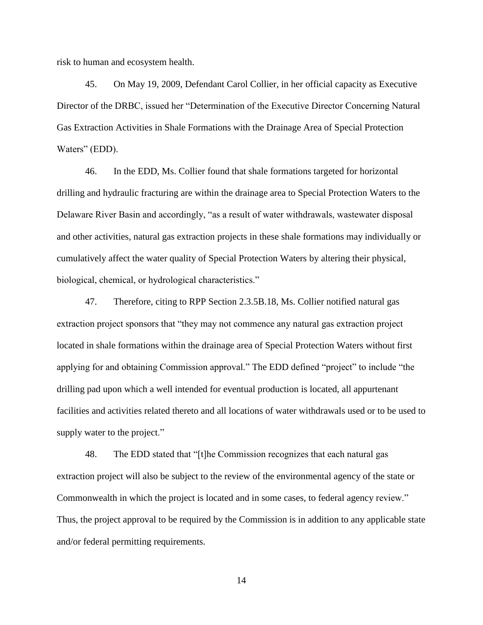risk to human and ecosystem health.

45. On May 19, 2009, Defendant Carol Collier, in her official capacity as Executive Director of the DRBC, issued her "Determination of the Executive Director Concerning Natural Gas Extraction Activities in Shale Formations with the Drainage Area of Special Protection Waters" (EDD).

46. In the EDD, Ms. Collier found that shale formations targeted for horizontal drilling and hydraulic fracturing are within the drainage area to Special Protection Waters to the Delaware River Basin and accordingly, "as a result of water withdrawals, wastewater disposal and other activities, natural gas extraction projects in these shale formations may individually or cumulatively affect the water quality of Special Protection Waters by altering their physical, biological, chemical, or hydrological characteristics."

47. Therefore, citing to RPP Section 2.3.5B.18, Ms. Collier notified natural gas extraction project sponsors that "they may not commence any natural gas extraction project located in shale formations within the drainage area of Special Protection Waters without first applying for and obtaining Commission approval." The EDD defined "project" to include "the drilling pad upon which a well intended for eventual production is located, all appurtenant facilities and activities related thereto and all locations of water withdrawals used or to be used to supply water to the project."

48. The EDD stated that "[t]he Commission recognizes that each natural gas extraction project will also be subject to the review of the environmental agency of the state or Commonwealth in which the project is located and in some cases, to federal agency review." Thus, the project approval to be required by the Commission is in addition to any applicable state and/or federal permitting requirements.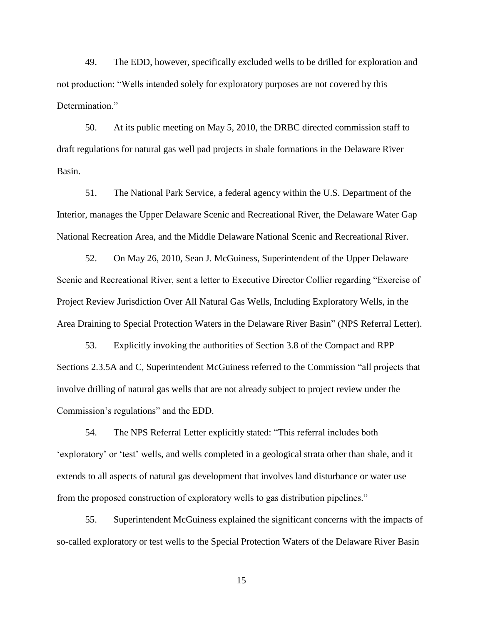49. The EDD, however, specifically excluded wells to be drilled for exploration and not production: "Wells intended solely for exploratory purposes are not covered by this Determination."

50. At its public meeting on May 5, 2010, the DRBC directed commission staff to draft regulations for natural gas well pad projects in shale formations in the Delaware River Basin.

51. The National Park Service, a federal agency within the U.S. Department of the Interior, manages the Upper Delaware Scenic and Recreational River, the Delaware Water Gap National Recreation Area, and the Middle Delaware National Scenic and Recreational River.

52. On May 26, 2010, Sean J. McGuiness, Superintendent of the Upper Delaware Scenic and Recreational River, sent a letter to Executive Director Collier regarding "Exercise of Project Review Jurisdiction Over All Natural Gas Wells, Including Exploratory Wells, in the Area Draining to Special Protection Waters in the Delaware River Basin" (NPS Referral Letter).

53. Explicitly invoking the authorities of Section 3.8 of the Compact and RPP Sections 2.3.5A and C, Superintendent McGuiness referred to the Commission "all projects that involve drilling of natural gas wells that are not already subject to project review under the Commission"s regulations" and the EDD.

54. The NPS Referral Letter explicitly stated: "This referral includes both "exploratory" or "test" wells, and wells completed in a geological strata other than shale, and it extends to all aspects of natural gas development that involves land disturbance or water use from the proposed construction of exploratory wells to gas distribution pipelines."

55. Superintendent McGuiness explained the significant concerns with the impacts of so-called exploratory or test wells to the Special Protection Waters of the Delaware River Basin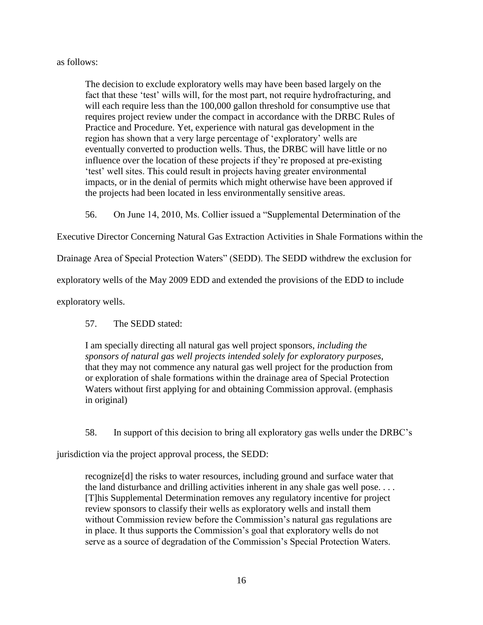## as follows:

The decision to exclude exploratory wells may have been based largely on the fact that these 'test' wills will, for the most part, not require hydrofracturing, and will each require less than the 100,000 gallon threshold for consumptive use that requires project review under the compact in accordance with the DRBC Rules of Practice and Procedure. Yet, experience with natural gas development in the region has shown that a very large percentage of "exploratory" wells are eventually converted to production wells. Thus, the DRBC will have little or no influence over the location of these projects if they"re proposed at pre-existing "test" well sites. This could result in projects having greater environmental impacts, or in the denial of permits which might otherwise have been approved if the projects had been located in less environmentally sensitive areas.

56. On June 14, 2010, Ms. Collier issued a "Supplemental Determination of the

Executive Director Concerning Natural Gas Extraction Activities in Shale Formations within the

Drainage Area of Special Protection Waters" (SEDD). The SEDD withdrew the exclusion for

exploratory wells of the May 2009 EDD and extended the provisions of the EDD to include

exploratory wells.

## 57. The SEDD stated:

I am specially directing all natural gas well project sponsors, *including the sponsors of natural gas well projects intended solely for exploratory purposes,* that they may not commence any natural gas well project for the production from or exploration of shale formations within the drainage area of Special Protection Waters without first applying for and obtaining Commission approval. (emphasis in original)

58. In support of this decision to bring all exploratory gas wells under the DRBC"s

jurisdiction via the project approval process, the SEDD:

recognize[d] the risks to water resources, including ground and surface water that the land disturbance and drilling activities inherent in any shale gas well pose. . . . [T]his Supplemental Determination removes any regulatory incentive for project review sponsors to classify their wells as exploratory wells and install them without Commission review before the Commission's natural gas regulations are in place. It thus supports the Commission"s goal that exploratory wells do not serve as a source of degradation of the Commission's Special Protection Waters.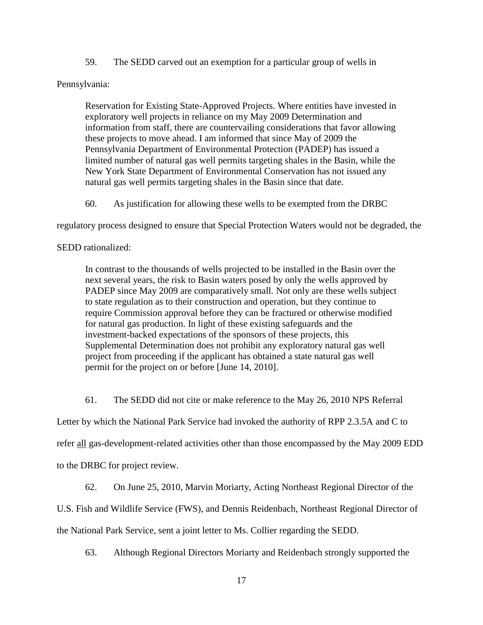59. The SEDD carved out an exemption for a particular group of wells in

### Pennsylvania:

Reservation for Existing State-Approved Projects. Where entities have invested in exploratory well projects in reliance on my May 2009 Determination and information from staff, there are countervailing considerations that favor allowing these projects to move ahead. I am informed that since May of 2009 the Pennsylvania Department of Environmental Protection (PADEP) has issued a limited number of natural gas well permits targeting shales in the Basin, while the New York State Department of Environmental Conservation has not issued any natural gas well permits targeting shales in the Basin since that date.

60. As justification for allowing these wells to be exempted from the DRBC

regulatory process designed to ensure that Special Protection Waters would not be degraded, the

## SEDD rationalized:

In contrast to the thousands of wells projected to be installed in the Basin over the next several years, the risk to Basin waters posed by only the wells approved by PADEP since May 2009 are comparatively small. Not only are these wells subject to state regulation as to their construction and operation, but they continue to require Commission approval before they can be fractured or otherwise modified for natural gas production. In light of these existing safeguards and the investment-backed expectations of the sponsors of these projects, this Supplemental Determination does not prohibit any exploratory natural gas well project from proceeding if the applicant has obtained a state natural gas well permit for the project on or before [June 14, 2010].

61. The SEDD did not cite or make reference to the May 26, 2010 NPS Referral

Letter by which the National Park Service had invoked the authority of RPP 2.3.5A and C to

refer all gas-development-related activities other than those encompassed by the May 2009 EDD

to the DRBC for project review.

62. On June 25, 2010, Marvin Moriarty, Acting Northeast Regional Director of the

U.S. Fish and Wildlife Service (FWS), and Dennis Reidenbach, Northeast Regional Director of

the National Park Service, sent a joint letter to Ms. Collier regarding the SEDD.

63. Although Regional Directors Moriarty and Reidenbach strongly supported the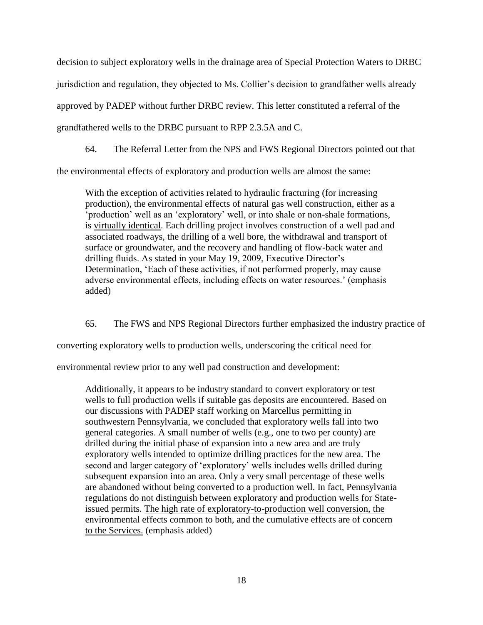decision to subject exploratory wells in the drainage area of Special Protection Waters to DRBC jurisdiction and regulation, they objected to Ms. Collier"s decision to grandfather wells already approved by PADEP without further DRBC review. This letter constituted a referral of the grandfathered wells to the DRBC pursuant to RPP 2.3.5A and C.

64. The Referral Letter from the NPS and FWS Regional Directors pointed out that

the environmental effects of exploratory and production wells are almost the same:

With the exception of activities related to hydraulic fracturing (for increasing production), the environmental effects of natural gas well construction, either as a 'production' well as an 'exploratory' well, or into shale or non-shale formations, is virtually identical. Each drilling project involves construction of a well pad and associated roadways, the drilling of a well bore, the withdrawal and transport of surface or groundwater, and the recovery and handling of flow-back water and drilling fluids. As stated in your May 19, 2009, Executive Director's Determination, "Each of these activities, if not performed properly, may cause adverse environmental effects, including effects on water resources." (emphasis added)

65. The FWS and NPS Regional Directors further emphasized the industry practice of

converting exploratory wells to production wells, underscoring the critical need for

environmental review prior to any well pad construction and development:

Additionally, it appears to be industry standard to convert exploratory or test wells to full production wells if suitable gas deposits are encountered. Based on our discussions with PADEP staff working on Marcellus permitting in southwestern Pennsylvania, we concluded that exploratory wells fall into two general categories. A small number of wells (e.g., one to two per county) are drilled during the initial phase of expansion into a new area and are truly exploratory wells intended to optimize drilling practices for the new area. The second and larger category of "exploratory" wells includes wells drilled during subsequent expansion into an area. Only a very small percentage of these wells are abandoned without being converted to a production well. In fact, Pennsylvania regulations do not distinguish between exploratory and production wells for Stateissued permits. The high rate of exploratory-to-production well conversion, the environmental effects common to both, and the cumulative effects are of concern to the Services. (emphasis added)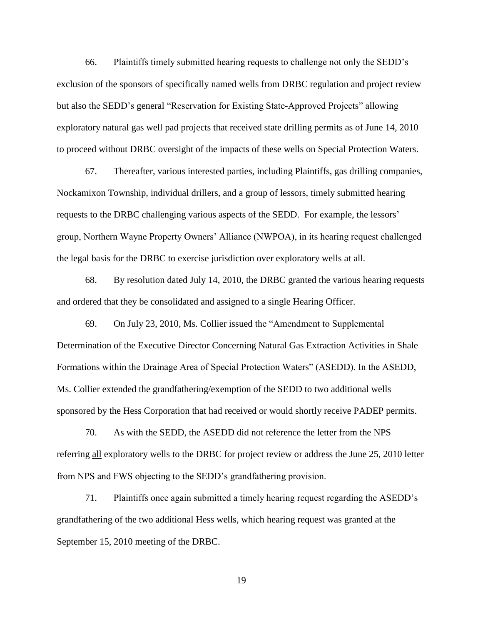66. Plaintiffs timely submitted hearing requests to challenge not only the SEDD"s exclusion of the sponsors of specifically named wells from DRBC regulation and project review but also the SEDD"s general "Reservation for Existing State-Approved Projects" allowing exploratory natural gas well pad projects that received state drilling permits as of June 14, 2010 to proceed without DRBC oversight of the impacts of these wells on Special Protection Waters.

67. Thereafter, various interested parties, including Plaintiffs, gas drilling companies, Nockamixon Township, individual drillers, and a group of lessors, timely submitted hearing requests to the DRBC challenging various aspects of the SEDD. For example, the lessors" group, Northern Wayne Property Owners" Alliance (NWPOA), in its hearing request challenged the legal basis for the DRBC to exercise jurisdiction over exploratory wells at all.

68. By resolution dated July 14, 2010, the DRBC granted the various hearing requests and ordered that they be consolidated and assigned to a single Hearing Officer.

69. On July 23, 2010, Ms. Collier issued the "Amendment to Supplemental Determination of the Executive Director Concerning Natural Gas Extraction Activities in Shale Formations within the Drainage Area of Special Protection Waters" (ASEDD). In the ASEDD, Ms. Collier extended the grandfathering/exemption of the SEDD to two additional wells sponsored by the Hess Corporation that had received or would shortly receive PADEP permits.

70. As with the SEDD, the ASEDD did not reference the letter from the NPS referring all exploratory wells to the DRBC for project review or address the June 25, 2010 letter from NPS and FWS objecting to the SEDD"s grandfathering provision.

71. Plaintiffs once again submitted a timely hearing request regarding the ASEDD"s grandfathering of the two additional Hess wells, which hearing request was granted at the September 15, 2010 meeting of the DRBC.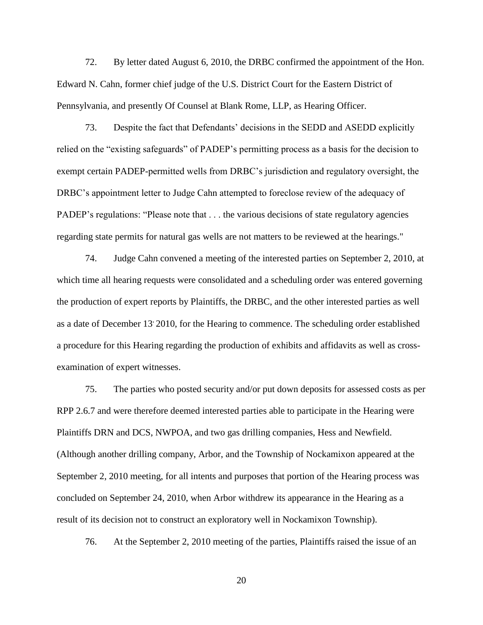72. By letter dated August 6, 2010, the DRBC confirmed the appointment of the Hon. Edward N. Cahn, former chief judge of the U.S. District Court for the Eastern District of Pennsylvania, and presently Of Counsel at Blank Rome, LLP, as Hearing Officer.

73. Despite the fact that Defendants" decisions in the SEDD and ASEDD explicitly relied on the "existing safeguards" of PADEP"s permitting process as a basis for the decision to exempt certain PADEP-permitted wells from DRBC"s jurisdiction and regulatory oversight, the DRBC"s appointment letter to Judge Cahn attempted to foreclose review of the adequacy of PADEP's regulations: "Please note that . . . the various decisions of state regulatory agencies regarding state permits for natural gas wells are not matters to be reviewed at the hearings."

74. Judge Cahn convened a meeting of the interested parties on September 2, 2010, at which time all hearing requests were consolidated and a scheduling order was entered governing the production of expert reports by Plaintiffs, the DRBC, and the other interested parties as well as a date of December 13 2010, for the Hearing to commence. The scheduling order established a procedure for this Hearing regarding the production of exhibits and affidavits as well as crossexamination of expert witnesses.

75. The parties who posted security and/or put down deposits for assessed costs as per RPP 2.6.7 and were therefore deemed interested parties able to participate in the Hearing were Plaintiffs DRN and DCS, NWPOA, and two gas drilling companies, Hess and Newfield. (Although another drilling company, Arbor, and the Township of Nockamixon appeared at the September 2, 2010 meeting, for all intents and purposes that portion of the Hearing process was concluded on September 24, 2010, when Arbor withdrew its appearance in the Hearing as a result of its decision not to construct an exploratory well in Nockamixon Township).

76. At the September 2, 2010 meeting of the parties, Plaintiffs raised the issue of an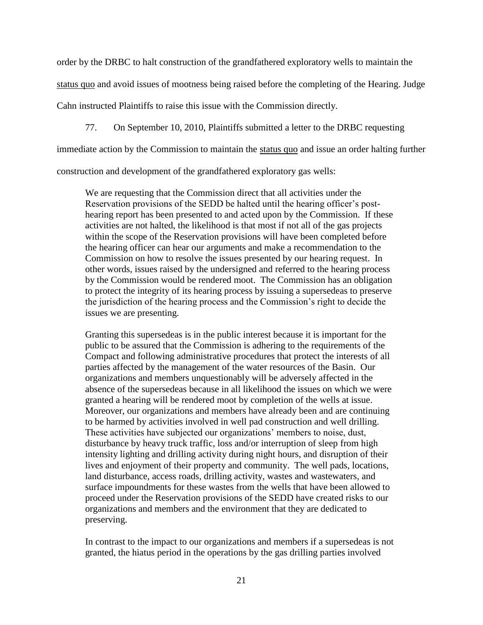order by the DRBC to halt construction of the grandfathered exploratory wells to maintain the

status quo and avoid issues of mootness being raised before the completing of the Hearing. Judge

Cahn instructed Plaintiffs to raise this issue with the Commission directly.

77. On September 10, 2010, Plaintiffs submitted a letter to the DRBC requesting

immediate action by the Commission to maintain the status quo and issue an order halting further

construction and development of the grandfathered exploratory gas wells:

We are requesting that the Commission direct that all activities under the Reservation provisions of the SEDD be halted until the hearing officer"s posthearing report has been presented to and acted upon by the Commission. If these activities are not halted, the likelihood is that most if not all of the gas projects within the scope of the Reservation provisions will have been completed before the hearing officer can hear our arguments and make a recommendation to the Commission on how to resolve the issues presented by our hearing request. In other words, issues raised by the undersigned and referred to the hearing process by the Commission would be rendered moot. The Commission has an obligation to protect the integrity of its hearing process by issuing a supersedeas to preserve the jurisdiction of the hearing process and the Commission"s right to decide the issues we are presenting.

Granting this supersedeas is in the public interest because it is important for the public to be assured that the Commission is adhering to the requirements of the Compact and following administrative procedures that protect the interests of all parties affected by the management of the water resources of the Basin. Our organizations and members unquestionably will be adversely affected in the absence of the supersedeas because in all likelihood the issues on which we were granted a hearing will be rendered moot by completion of the wells at issue. Moreover, our organizations and members have already been and are continuing to be harmed by activities involved in well pad construction and well drilling. These activities have subjected our organizations' members to noise, dust, disturbance by heavy truck traffic, loss and/or interruption of sleep from high intensity lighting and drilling activity during night hours, and disruption of their lives and enjoyment of their property and community. The well pads, locations, land disturbance, access roads, drilling activity, wastes and wastewaters, and surface impoundments for these wastes from the wells that have been allowed to proceed under the Reservation provisions of the SEDD have created risks to our organizations and members and the environment that they are dedicated to preserving.

In contrast to the impact to our organizations and members if a supersedeas is not granted, the hiatus period in the operations by the gas drilling parties involved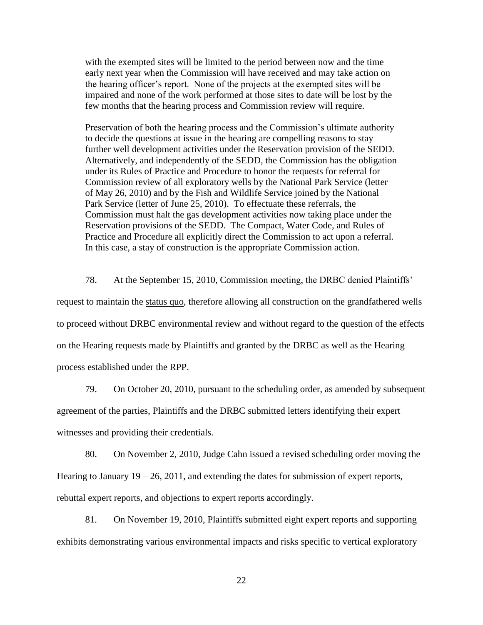with the exempted sites will be limited to the period between now and the time early next year when the Commission will have received and may take action on the hearing officer"s report. None of the projects at the exempted sites will be impaired and none of the work performed at those sites to date will be lost by the few months that the hearing process and Commission review will require.

Preservation of both the hearing process and the Commission's ultimate authority to decide the questions at issue in the hearing are compelling reasons to stay further well development activities under the Reservation provision of the SEDD. Alternatively, and independently of the SEDD, the Commission has the obligation under its Rules of Practice and Procedure to honor the requests for referral for Commission review of all exploratory wells by the National Park Service (letter of May 26, 2010) and by the Fish and Wildlife Service joined by the National Park Service (letter of June 25, 2010). To effectuate these referrals, the Commission must halt the gas development activities now taking place under the Reservation provisions of the SEDD. The Compact, Water Code, and Rules of Practice and Procedure all explicitly direct the Commission to act upon a referral. In this case, a stay of construction is the appropriate Commission action.

78. At the September 15, 2010, Commission meeting, the DRBC denied Plaintiffs" request to maintain the status quo, therefore allowing all construction on the grandfathered wells to proceed without DRBC environmental review and without regard to the question of the effects on the Hearing requests made by Plaintiffs and granted by the DRBC as well as the Hearing process established under the RPP.

79. On October 20, 2010, pursuant to the scheduling order, as amended by subsequent agreement of the parties, Plaintiffs and the DRBC submitted letters identifying their expert witnesses and providing their credentials.

80. On November 2, 2010, Judge Cahn issued a revised scheduling order moving the Hearing to January  $19 - 26$ ,  $2011$ , and extending the dates for submission of expert reports, rebuttal expert reports, and objections to expert reports accordingly.

81. On November 19, 2010, Plaintiffs submitted eight expert reports and supporting exhibits demonstrating various environmental impacts and risks specific to vertical exploratory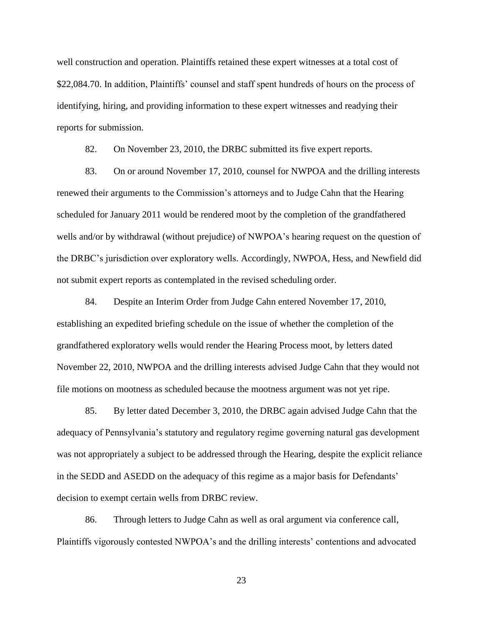well construction and operation. Plaintiffs retained these expert witnesses at a total cost of \$22,084.70. In addition, Plaintiffs' counsel and staff spent hundreds of hours on the process of identifying, hiring, and providing information to these expert witnesses and readying their reports for submission.

82. On November 23, 2010, the DRBC submitted its five expert reports.

83. On or around November 17, 2010, counsel for NWPOA and the drilling interests renewed their arguments to the Commission"s attorneys and to Judge Cahn that the Hearing scheduled for January 2011 would be rendered moot by the completion of the grandfathered wells and/or by withdrawal (without prejudice) of NWPOA's hearing request on the question of the DRBC"s jurisdiction over exploratory wells. Accordingly, NWPOA, Hess, and Newfield did not submit expert reports as contemplated in the revised scheduling order.

84. Despite an Interim Order from Judge Cahn entered November 17, 2010, establishing an expedited briefing schedule on the issue of whether the completion of the grandfathered exploratory wells would render the Hearing Process moot, by letters dated November 22, 2010, NWPOA and the drilling interests advised Judge Cahn that they would not file motions on mootness as scheduled because the mootness argument was not yet ripe.

85. By letter dated December 3, 2010, the DRBC again advised Judge Cahn that the adequacy of Pennsylvania"s statutory and regulatory regime governing natural gas development was not appropriately a subject to be addressed through the Hearing, despite the explicit reliance in the SEDD and ASEDD on the adequacy of this regime as a major basis for Defendants" decision to exempt certain wells from DRBC review.

86. Through letters to Judge Cahn as well as oral argument via conference call, Plaintiffs vigorously contested NWPOA"s and the drilling interests" contentions and advocated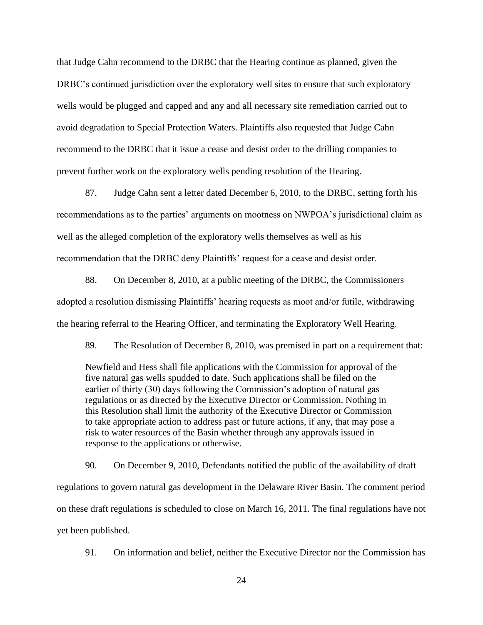that Judge Cahn recommend to the DRBC that the Hearing continue as planned, given the DRBC's continued jurisdiction over the exploratory well sites to ensure that such exploratory wells would be plugged and capped and any and all necessary site remediation carried out to avoid degradation to Special Protection Waters. Plaintiffs also requested that Judge Cahn recommend to the DRBC that it issue a cease and desist order to the drilling companies to prevent further work on the exploratory wells pending resolution of the Hearing.

87. Judge Cahn sent a letter dated December 6, 2010, to the DRBC, setting forth his recommendations as to the parties' arguments on mootness on NWPOA's jurisdictional claim as well as the alleged completion of the exploratory wells themselves as well as his recommendation that the DRBC deny Plaintiffs" request for a cease and desist order.

88. On December 8, 2010, at a public meeting of the DRBC, the Commissioners adopted a resolution dismissing Plaintiffs' hearing requests as moot and/or futile, withdrawing the hearing referral to the Hearing Officer, and terminating the Exploratory Well Hearing.

89. The Resolution of December 8, 2010, was premised in part on a requirement that:

Newfield and Hess shall file applications with the Commission for approval of the five natural gas wells spudded to date. Such applications shall be filed on the earlier of thirty (30) days following the Commission's adoption of natural gas regulations or as directed by the Executive Director or Commission. Nothing in this Resolution shall limit the authority of the Executive Director or Commission to take appropriate action to address past or future actions, if any, that may pose a risk to water resources of the Basin whether through any approvals issued in response to the applications or otherwise.

90. On December 9, 2010, Defendants notified the public of the availability of draft regulations to govern natural gas development in the Delaware River Basin. The comment period on these draft regulations is scheduled to close on March 16, 2011. The final regulations have not yet been published.

91. On information and belief, neither the Executive Director nor the Commission has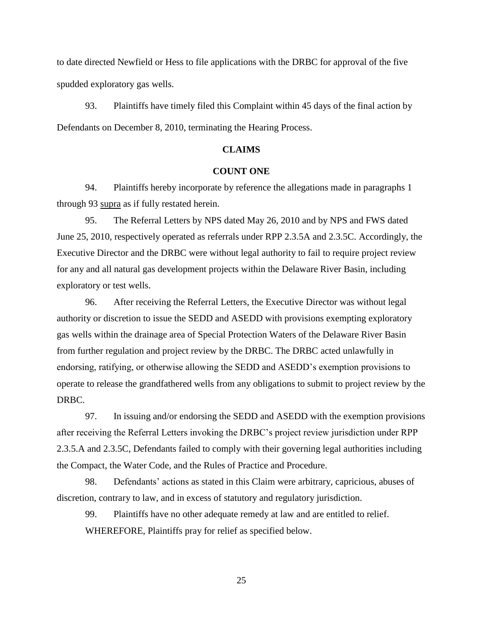to date directed Newfield or Hess to file applications with the DRBC for approval of the five spudded exploratory gas wells.

93. Plaintiffs have timely filed this Complaint within 45 days of the final action by Defendants on December 8, 2010, terminating the Hearing Process.

### **CLAIMS**

### **COUNT ONE**

94. Plaintiffs hereby incorporate by reference the allegations made in paragraphs 1 through 93 supra as if fully restated herein.

95. The Referral Letters by NPS dated May 26, 2010 and by NPS and FWS dated June 25, 2010, respectively operated as referrals under RPP 2.3.5A and 2.3.5C. Accordingly, the Executive Director and the DRBC were without legal authority to fail to require project review for any and all natural gas development projects within the Delaware River Basin, including exploratory or test wells.

96. After receiving the Referral Letters, the Executive Director was without legal authority or discretion to issue the SEDD and ASEDD with provisions exempting exploratory gas wells within the drainage area of Special Protection Waters of the Delaware River Basin from further regulation and project review by the DRBC. The DRBC acted unlawfully in endorsing, ratifying, or otherwise allowing the SEDD and ASEDD"s exemption provisions to operate to release the grandfathered wells from any obligations to submit to project review by the DRBC.

97. In issuing and/or endorsing the SEDD and ASEDD with the exemption provisions after receiving the Referral Letters invoking the DRBC"s project review jurisdiction under RPP 2.3.5.A and 2.3.5C, Defendants failed to comply with their governing legal authorities including the Compact, the Water Code, and the Rules of Practice and Procedure.

98. Defendants" actions as stated in this Claim were arbitrary, capricious, abuses of discretion, contrary to law, and in excess of statutory and regulatory jurisdiction.

99. Plaintiffs have no other adequate remedy at law and are entitled to relief. WHEREFORE, Plaintiffs pray for relief as specified below.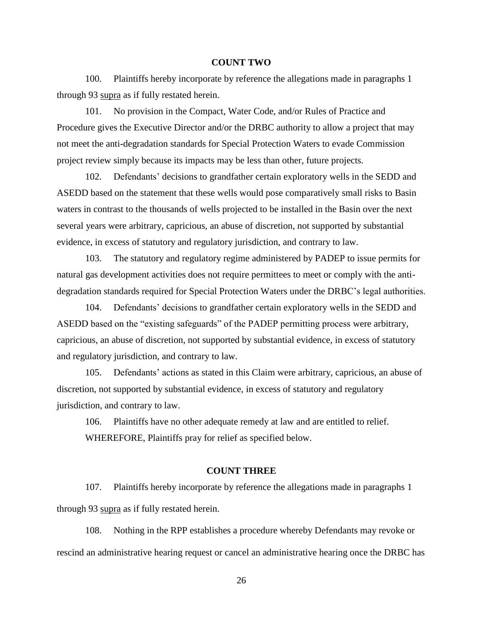#### **COUNT TWO**

100. Plaintiffs hereby incorporate by reference the allegations made in paragraphs 1 through 93 supra as if fully restated herein.

101. No provision in the Compact, Water Code, and/or Rules of Practice and Procedure gives the Executive Director and/or the DRBC authority to allow a project that may not meet the anti-degradation standards for Special Protection Waters to evade Commission project review simply because its impacts may be less than other, future projects.

102. Defendants" decisions to grandfather certain exploratory wells in the SEDD and ASEDD based on the statement that these wells would pose comparatively small risks to Basin waters in contrast to the thousands of wells projected to be installed in the Basin over the next several years were arbitrary, capricious, an abuse of discretion, not supported by substantial evidence, in excess of statutory and regulatory jurisdiction, and contrary to law.

103. The statutory and regulatory regime administered by PADEP to issue permits for natural gas development activities does not require permittees to meet or comply with the antidegradation standards required for Special Protection Waters under the DRBC"s legal authorities.

104. Defendants' decisions to grandfather certain exploratory wells in the SEDD and ASEDD based on the "existing safeguards" of the PADEP permitting process were arbitrary, capricious, an abuse of discretion, not supported by substantial evidence, in excess of statutory and regulatory jurisdiction, and contrary to law.

105. Defendants' actions as stated in this Claim were arbitrary, capricious, an abuse of discretion, not supported by substantial evidence, in excess of statutory and regulatory jurisdiction, and contrary to law.

106. Plaintiffs have no other adequate remedy at law and are entitled to relief. WHEREFORE, Plaintiffs pray for relief as specified below.

### **COUNT THREE**

107. Plaintiffs hereby incorporate by reference the allegations made in paragraphs 1 through 93 supra as if fully restated herein.

108. Nothing in the RPP establishes a procedure whereby Defendants may revoke or rescind an administrative hearing request or cancel an administrative hearing once the DRBC has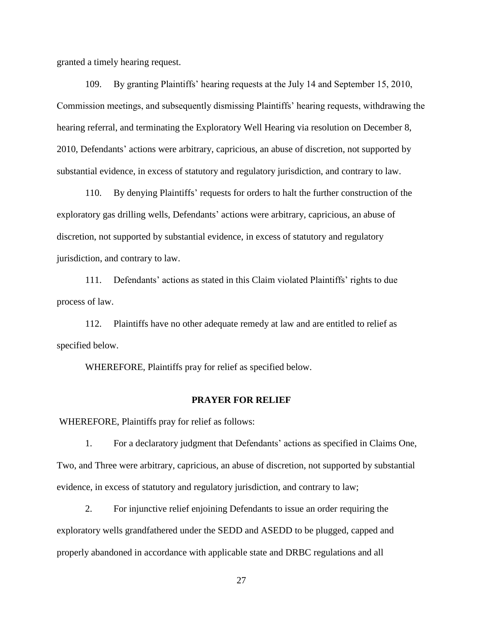granted a timely hearing request.

109. By granting Plaintiffs" hearing requests at the July 14 and September 15, 2010, Commission meetings, and subsequently dismissing Plaintiffs" hearing requests, withdrawing the hearing referral, and terminating the Exploratory Well Hearing via resolution on December 8, 2010, Defendants" actions were arbitrary, capricious, an abuse of discretion, not supported by substantial evidence, in excess of statutory and regulatory jurisdiction, and contrary to law.

110. By denying Plaintiffs" requests for orders to halt the further construction of the exploratory gas drilling wells, Defendants' actions were arbitrary, capricious, an abuse of discretion, not supported by substantial evidence, in excess of statutory and regulatory jurisdiction, and contrary to law.

111. Defendants' actions as stated in this Claim violated Plaintiffs' rights to due process of law.

112. Plaintiffs have no other adequate remedy at law and are entitled to relief as specified below.

WHEREFORE, Plaintiffs pray for relief as specified below.

### **PRAYER FOR RELIEF**

WHEREFORE, Plaintiffs pray for relief as follows:

1. For a declaratory judgment that Defendants" actions as specified in Claims One, Two, and Three were arbitrary, capricious, an abuse of discretion, not supported by substantial evidence, in excess of statutory and regulatory jurisdiction, and contrary to law;

2. For injunctive relief enjoining Defendants to issue an order requiring the exploratory wells grandfathered under the SEDD and ASEDD to be plugged, capped and properly abandoned in accordance with applicable state and DRBC regulations and all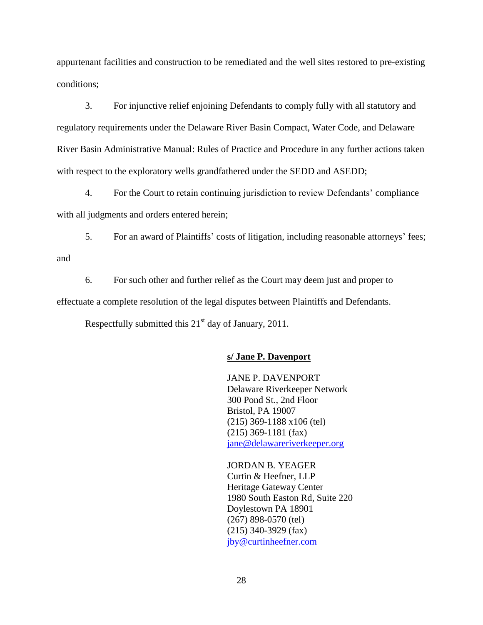appurtenant facilities and construction to be remediated and the well sites restored to pre-existing conditions;

3. For injunctive relief enjoining Defendants to comply fully with all statutory and regulatory requirements under the Delaware River Basin Compact, Water Code, and Delaware River Basin Administrative Manual: Rules of Practice and Procedure in any further actions taken with respect to the exploratory wells grandfathered under the SEDD and ASEDD;

4. For the Court to retain continuing jurisdiction to review Defendants" compliance with all judgments and orders entered herein;

5. For an award of Plaintiffs" costs of litigation, including reasonable attorneys" fees; and

6. For such other and further relief as the Court may deem just and proper to effectuate a complete resolution of the legal disputes between Plaintiffs and Defendants.

Respectfully submitted this  $21<sup>st</sup>$  day of January, 2011.

# **s/ Jane P. Davenport**

JANE P. DAVENPORT Delaware Riverkeeper Network 300 Pond St., 2nd Floor Bristol, PA 19007 (215) 369-1188 x106 (tel) (215) 369-1181 (fax) [jane@delawareriverkeeper.org](mailto:jane@delawareriverkeeper.org)

JORDAN B. YEAGER Curtin & Heefner, LLP Heritage Gateway Center 1980 South Easton Rd, Suite 220 Doylestown PA 18901 (267) 898-0570 (tel) (215) 340-3929 (fax) [jby@curtinheefner.com](mailto:jby@curtinheefner.com)